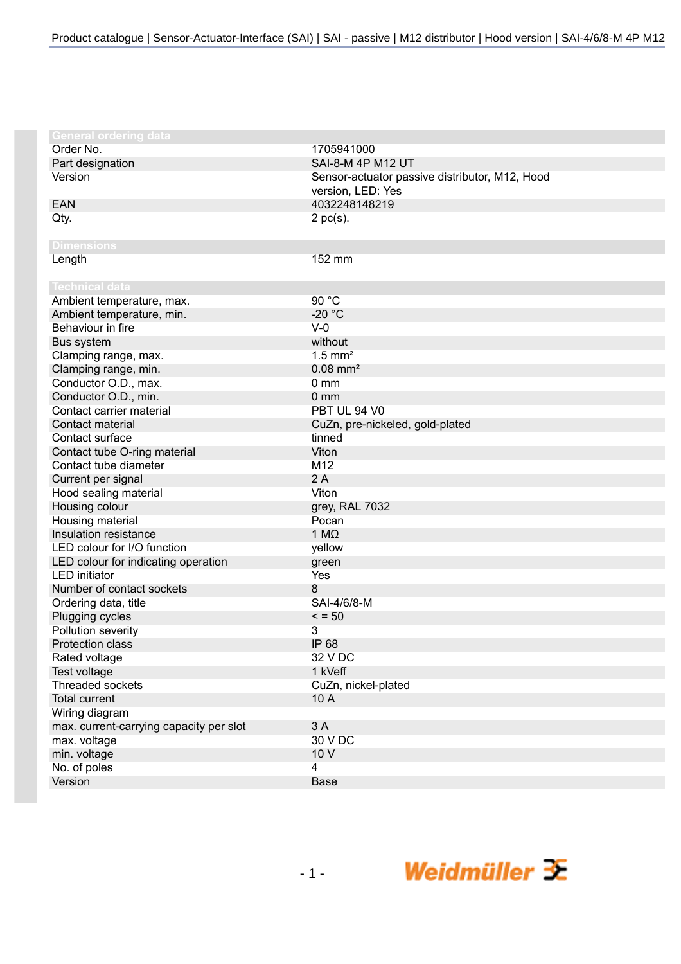| General ordering data                   |                                                |
|-----------------------------------------|------------------------------------------------|
| Order No.                               | 1705941000                                     |
| Part designation                        | SAI-8-M 4P M12 UT                              |
| Version                                 | Sensor-actuator passive distributor, M12, Hood |
|                                         | version, LED: Yes                              |
| <b>EAN</b>                              | 4032248148219                                  |
| Qty.                                    | $2$ pc(s).                                     |
|                                         |                                                |
| <b>Dimensions</b>                       |                                                |
| Length                                  | 152 mm                                         |
|                                         |                                                |
| <b>Technical data</b>                   |                                                |
| Ambient temperature, max.               | 90 °C                                          |
| Ambient temperature, min.               | $-20 °C$                                       |
| Behaviour in fire                       | $V-0$                                          |
| Bus system                              | without                                        |
| Clamping range, max.                    | $1.5$ mm <sup>2</sup>                          |
| Clamping range, min.                    | $0.08$ mm <sup>2</sup>                         |
| Conductor O.D., max.                    | 0 <sub>mm</sub>                                |
| Conductor O.D., min.                    | 0 <sub>mm</sub>                                |
| Contact carrier material                | <b>PBT UL 94 V0</b>                            |
| Contact material                        | CuZn, pre-nickeled, gold-plated                |
| Contact surface                         | tinned                                         |
| Contact tube O-ring material            | Viton                                          |
| Contact tube diameter                   | M12                                            |
| Current per signal                      | 2A                                             |
| Hood sealing material                   | Viton                                          |
| Housing colour                          | grey, RAL 7032                                 |
| Housing material                        | Pocan                                          |
| Insulation resistance                   | 1 $M\Omega$                                    |
| LED colour for I/O function             | yellow                                         |
| LED colour for indicating operation     | green                                          |
| <b>LED</b> initiator                    | Yes                                            |
| Number of contact sockets               | 8                                              |
| Ordering data, title                    | SAI-4/6/8-M                                    |
| Plugging cycles                         | $\le$ = 50                                     |
| Pollution severity                      | 3                                              |
| Protection class                        | IP 68                                          |
| Rated voltage                           | 32 V DC                                        |
| Test voltage                            | 1 kVeff                                        |
| Threaded sockets                        | CuZn, nickel-plated                            |
| <b>Total current</b>                    | 10 A                                           |
| Wiring diagram                          |                                                |
| max. current-carrying capacity per slot | 3 A                                            |
| max. voltage                            | 30 V DC                                        |
| min. voltage                            | 10 V                                           |
| No. of poles                            | 4                                              |
| Version                                 | Base                                           |

Weidmüller  $\mathcal{\mathcal{F}}$